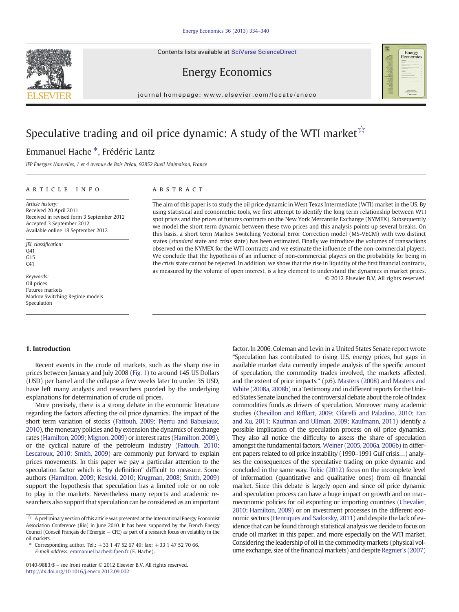Contents lists available at SciVerse ScienceDirect

# Energy Economics

journal homepage: www.elsevier.com/locate/eneco

# Speculative trading and oil price dynamic: A study of the WTI market  $\hat{x}$

## Emmanuel Hache ⁎, Frédéric Lantz

IFP Énergies Nouvelles, 1 et 4 avenue de Bois Préau, 92852 Rueil Malmaison, France

## article info abstract

Article history: Received 20 April 2011 Received in revised form 3 September 2012 Accepted 3 September 2012 Available online 18 September 2012

JEL classification: Q41 G15  $C<sub>41</sub>$ 

Keywords: Oil prices Futures markets Markov Switching Regime models Speculation

The aim of this paper is to study the oil price dynamic in West Texas Intermediate (WTI) market in the US. By using statistical and econometric tools, we first attempt to identify the long term relationship between WTI spot prices and the prices of futures contracts on the New York Mercantile Exchange (NYMEX). Subsequently we model the short term dynamic between these two prices and this analysis points up several breaks. On this basis, a short term Markov Switching Vectorial Error Correction model (MS-VECM) with two distinct states (standard state and crisis state) has been estimated. Finally we introduce the volumes of transactions observed on the NYMEX for the WTI contracts and we estimate the influence of the non-commercial players. We conclude that the hypothesis of an influence of non-commercial players on the probability for being in the crisis state cannot be rejected. In addition, we show that the rise in liquidity of the first financial contracts, as measured by the volume of open interest, is a key element to understand the dynamics in market prices. © 2012 Elsevier B.V. All rights reserved.

### 1. Introduction

Recent events in the crude oil markets, such as the sharp rise in prices between January and July 2008 [\(Fig. 1](#page-1-0)) to around 145 US Dollars (USD) per barrel and the collapse a few weeks later to under 35 USD, have left many analysts and researchers puzzled by the underlying explanations for determination of crude oil prices.

More precisely, there is a strong debate in the economic literature regarding the factors affecting the oil price dynamics. The impact of the short term variation of stocks [\(Fattouh, 2009; Pierru and Babusiaux,](#page--1-0) [2010](#page--1-0)), the monetary policies and by extension the dynamics of exchange rates ([Hamilton, 2009; Mignon, 2009\)](#page--1-0) or interest rates [\(Hamilton, 2009\)](#page--1-0), or the cyclical nature of the petroleum industry ([Fattouh, 2010;](#page--1-0) [Lescaroux, 2010; Smith, 2009](#page--1-0)) are commonly put forward to explain prices movements. In this paper we pay a particular attention to the speculation factor which is "by definition" difficult to measure. Some authors ([Hamilton, 2009; Kesicki, 2010; Krugman, 2008; Smith, 2009](#page--1-0)) support the hypothesis that speculation has a limited role or no role to play in the markets. Nevertheless many reports and academic researchers also support that speculation can be considered as an important

factor. In 2006, Coleman and Levin in a United States Senate report wrote "Speculation has contributed to rising U.S. energy prices, but gaps in available market data currently impede analysis of the specific amount of speculation, the commodity trades involved, the markets affected, and the extent of price impacts." (p.6). [Masters \(2008\)](#page--1-0) and [Masters and](#page--1-0) [White \(2008a, 2008b\)](#page--1-0) in a Testimony and in different reports for the United States Senate launched the controversial debate about the role of Index commodities funds as drivers of speculation. Moreover many academic studies (Chevillon and Riffl[art, 2009; Cifarelli and Paladino, 2010; Fan](#page--1-0) [and Xu, 2011; Kaufman and Ullman, 2009; Kaufmann, 2011\)](#page--1-0) identify a possible implication of the speculation process on oil price dynamics. They also all notice the difficulty to assess the share of speculation amongst the fundamental factors. [Weiner \(2005, 2006a, 2006b\)](#page--1-0) in different papers related to oil price instability (1990–1991 Gulf crisis…) analyses the consequences of the speculative trading on price dynamic and concluded in the same way. [Tokic \(2012\)](#page--1-0) focus on the incomplete level of information (quantitative and qualitative ones) from oil financial market. Since this debate is largely open and since oil price dynamic and speculation process can have a huge impact on growth and on macroeconomic policies for oil exporting or importing countries ([Chevalier,](#page--1-0) [2010; Hamilton, 2009](#page--1-0)) or on investment processes in the different economic sectors [\(Henriques and Sadorsky, 2011](#page--1-0)) and despite the lack of evidence that can be found through statistical analysis we decide to focus on crude oil market in this paper, and more especially on the WTI market. Considering the leadership of oil in the commodity markets (physical volume exchange, size of the financial markets) and despite [Regnier's \(2007\)](#page--1-0)





A preliminary version of this article was presented at the International Energy Economist Association Conference (Rio) in June 2010. It has been supported by the French Energy Council (Conseil Français de l'Energie — CFE) as part of a research focus on volatility in the oil markets.

<sup>⁎</sup> Corresponding author. Tel.: +33 1 47 52 67 49; fax: +33 1 47 52 70 66. E-mail address: [emmanuel.hache@ifpen.fr](mailto:emmanuel.hache@ifpen.fr) (E. Hache).

<sup>0140-9883/\$</sup> – see front matter © 2012 Elsevier B.V. All rights reserved. <http://dx.doi.org/10.1016/j.eneco.2012.09.002>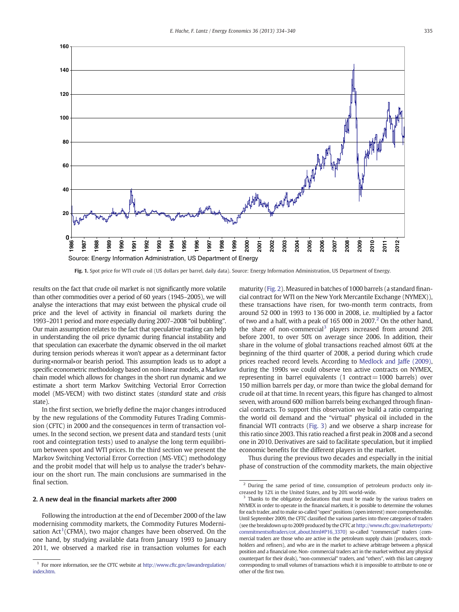<span id="page-1-0"></span>

Fig. 1. Spot price for WTI crude oil (US dollars per barrel, daily data). Source: Energy Information Administration, US Department of Energy.

results on the fact that crude oil market is not significantly more volatile than other commodities over a period of 60 years (1945–2005), we will analyse the interactions that may exist between the physical crude oil price and the level of activity in financial oil markets during the 1993–2011 period and more especially during 2007–2008 "oil bubbling". Our main assumption relates to the fact that speculative trading can help in understanding the oil price dynamic during financial instability and that speculation can exacerbate the dynamic observed in the oil market during tension periods whereas it won't appear as a determinant factor during«normal»or bearish period. This assumption leads us to adopt a specific econometric methodology based on non-linear models, a Markov chain model which allows for changes in the short run dynamic and we estimate a short term Markov Switching Vectorial Error Correction model (MS-VECM) with two distinct states (standard state and crisis state).

In the first section, we briefly define the major changes introduced by the new regulations of the Commodity Futures Trading Commission (CFTC) in 2000 and the consequences in term of transaction volumes. In the second section, we present data and standard tests (unit root and cointegration tests) used to analyse the long term equilibrium between spot and WTI prices. In the third section we present the Markov Switching Vectorial Error Correction (MS‐VEC) methodology and the probit model that will help us to analyse the trader's behaviour on the short run. The main conclusions are summarised in the final section.

## 2. A new deal in the financial markets after 2000

Following the introduction at the end of December 2000 of the law modernising commodity markets, the Commodity Futures Modernisation Act<sup>1</sup>(CFMA), two major changes have been observed. On the one hand, by studying available data from January 1993 to January 2011, we observed a marked rise in transaction volumes for each maturity [\(Fig. 2\)](#page--1-0). Measured in batches of 1000 barrels (a standard financial contract for WTI on the New York Mercantile Exchange (NYMEX)), these transactions have risen, for two-month term contracts, from around 52 000 in 1993 to 136 000 in 2008, i.e. multiplied by a factor of two and a half, with a peak of 165 000 in 2007. $^2$  On the other hand, the share of non-commercial<sup>3</sup> players increased from around 20% before 2001, to over 50% on average since 2006. In addition, their share in the volume of global transactions reached almost 60% at the beginning of the third quarter of 2008, a period during which crude prices reached record levels. According to [Medlock and Jaffe \(2009\),](#page--1-0) during the 1990s we could observe ten active contracts on NYMEX, representing in barrel equivalents  $(1 \text{ contract} = 1000 \text{ barriers})$  over 150 million barrels per day, or more than twice the global demand for crude oil at that time. In recent years, this figure has changed to almost seven, with around 600 million barrels being exchanged through financial contracts. To support this observation we build a ratio comparing the world oil demand and the "virtual" physical oil included in the financial WTI contracts [\(Fig. 3\)](#page--1-0) and we observe a sharp increase for this ratio since 2003. This ratio reached a first peak in 2008 and a second one in 2010. Derivatives are said to facilitate speculation, but it implied economic benefits for the different players in the market.

Thus during the previous two decades and especially in the initial phase of construction of the commodity markets, the main objective

<sup>&</sup>lt;sup>1</sup> For more information, see the CFTC website at [http://www.cftc.gov/lawandregulation/](http://www.cftc.gov/lawandregulation/index.htm) [index.htm.](http://www.cftc.gov/lawandregulation/index.htm)

During the same period of time, consumption of petroleum products only increased by 12% in the United States, and by 20% world-wide.

<sup>&</sup>lt;sup>3</sup> Thanks to the obligatory declarations that must be made by the various traders on NYMEX in order to operate in the financial markets, it is possible to determine the volumes for each trader, and to make so-called "open" positions (open interest) more comprehensible. Until September 2009, the CFTC classified the various parties into three categories of traders (see the breakdown up to 2009 produced by the CFTC at [http://www.cftc.gov/marketreports/](http://www.cftc.gov/marketreports/commitmentsoftraders/cot_about.html#P16_3370) [commitmentsoftraders/cot\\_about.html#P16\\_3370](http://www.cftc.gov/marketreports/commitmentsoftraders/cot_about.html#P16_3370)) so-called "commercial" traders (commercial traders are those who are active in the petroleum supply chain (producers, stockholders and refiners), and who are in the market to achieve arbitrage between a physical position and a financial one. Non- commercial traders act in the market without any physical counterpart for their deals), "non-commercial" traders, and "others", with this last category corresponding to small volumes of transactions which it is impossible to attribute to one or other of the first two.